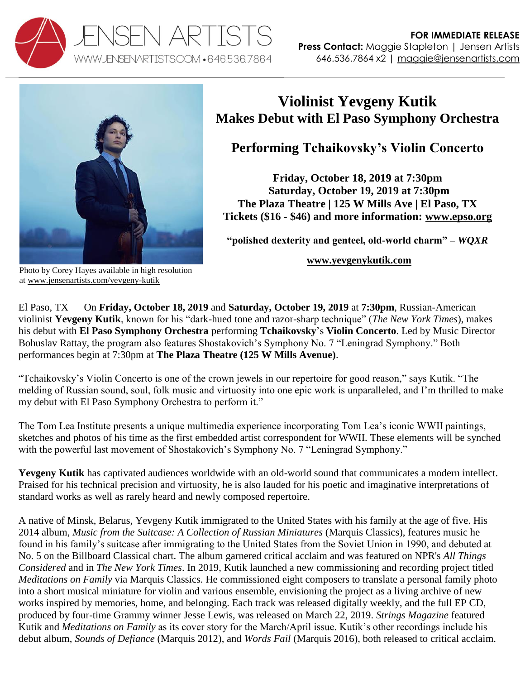



## **Violinist Yevgeny Kutik Makes Debut with El Paso Symphony Orchestra**

**Performing Tchaikovsky's Violin Concerto**

**Friday, October 18, 2019 at 7:30pm Saturday, October 19, 2019 at 7:30pm The Plaza Theatre | 125 W Mills Ave | El Paso, TX Tickets (\$16 - \$46) and more information: [www.epso.org](https://www.epso.org/event/october-classical-concerts-a-multimedia-experience/)**

**"polished dexterity and genteel, old-world charm" –** *WQXR*

## **[www.yevgenykutik.com](http://www.yevgenykutik.com/)**

Photo by Corey Hayes available in high resolution at [www.jensenartists.com/yevgeny-kutik](http://www.jensenartists.com/yevgeny-kutik)

El Paso, TX — On **Friday, October 18, 2019** and **Saturday, October 19, 2019** at **7:30pm**, Russian-American violinist **Yevgeny Kutik**, known for his "dark-hued tone and razor-sharp technique" (*The New York Times*), makes his debut with **El Paso Symphony Orchestra** performing **Tchaikovsky**'s **Violin Concerto**. Led by Music Director Bohuslav Rattay, the program also features Shostakovich's Symphony No. 7 "Leningrad Symphony." Both performances begin at 7:30pm at **The Plaza Theatre (125 W Mills Avenue)**.

"Tchaikovsky's Violin Concerto is one of the crown jewels in our repertoire for good reason," says Kutik. "The melding of Russian sound, soul, folk music and virtuosity into one epic work is unparalleled, and I'm thrilled to make my debut with El Paso Symphony Orchestra to perform it."

The Tom Lea Institute presents a unique multimedia experience incorporating Tom Lea's iconic WWII paintings, sketches and photos of his time as the first embedded artist correspondent for WWII. These elements will be synched with the powerful last movement of Shostakovich's Symphony No. 7 "Leningrad Symphony."

**Yevgeny Kutik** has captivated audiences worldwide with an old-world sound that communicates a modern intellect. Praised for his technical precision and virtuosity, he is also lauded for his poetic and imaginative interpretations of standard works as well as rarely heard and newly composed repertoire.

A native of Minsk, Belarus, Yevgeny Kutik immigrated to the United States with his family at the age of five. His 2014 album, *Music from the Suitcase: A Collection of Russian Miniatures* (Marquis Classics), features music he found in his family's suitcase after immigrating to the United States from the Soviet Union in 1990, and debuted at No. 5 on the Billboard Classical chart. The album garnered critical acclaim and was featured on NPR's *All Things Considered* and in *The New York Times*. In 2019, Kutik launched a new commissioning and recording project titled *Meditations on Family* via Marquis Classics. He commissioned eight composers to translate a personal family photo into a short musical miniature for violin and various ensemble, envisioning the project as a living archive of new works inspired by memories, home, and belonging. Each track was released digitally weekly, and the full EP CD, produced by four-time Grammy winner Jesse Lewis, was released on March 22, 2019. *Strings Magazine* featured Kutik and *Meditations on Family* as its cover story for the March/April issue. Kutik's other recordings include his debut album, *Sounds of Defiance* (Marquis 2012), and *Words Fail* (Marquis 2016), both released to critical acclaim.